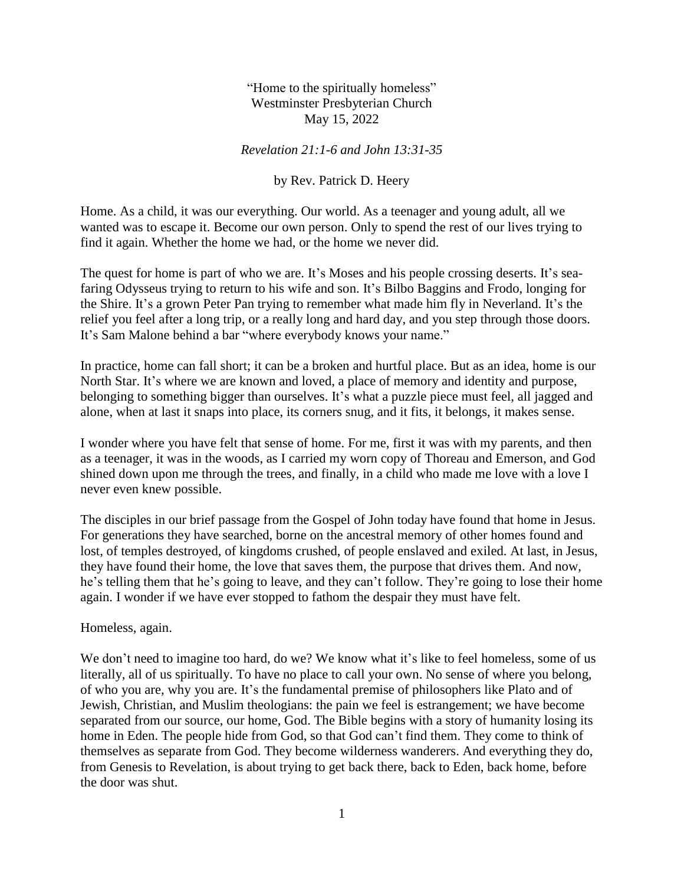"Home to the spiritually homeless" Westminster Presbyterian Church May 15, 2022

## *Revelation 21:1-6 and John 13:31-35*

## by Rev. Patrick D. Heery

Home. As a child, it was our everything. Our world. As a teenager and young adult, all we wanted was to escape it. Become our own person. Only to spend the rest of our lives trying to find it again. Whether the home we had, or the home we never did.

The quest for home is part of who we are. It's Moses and his people crossing deserts. It's seafaring Odysseus trying to return to his wife and son. It's Bilbo Baggins and Frodo, longing for the Shire. It's a grown Peter Pan trying to remember what made him fly in Neverland. It's the relief you feel after a long trip, or a really long and hard day, and you step through those doors. It's Sam Malone behind a bar "where everybody knows your name."

In practice, home can fall short; it can be a broken and hurtful place. But as an idea, home is our North Star. It's where we are known and loved, a place of memory and identity and purpose, belonging to something bigger than ourselves. It's what a puzzle piece must feel, all jagged and alone, when at last it snaps into place, its corners snug, and it fits, it belongs, it makes sense.

I wonder where you have felt that sense of home. For me, first it was with my parents, and then as a teenager, it was in the woods, as I carried my worn copy of Thoreau and Emerson, and God shined down upon me through the trees, and finally, in a child who made me love with a love I never even knew possible.

The disciples in our brief passage from the Gospel of John today have found that home in Jesus. For generations they have searched, borne on the ancestral memory of other homes found and lost, of temples destroyed, of kingdoms crushed, of people enslaved and exiled. At last, in Jesus, they have found their home, the love that saves them, the purpose that drives them. And now, he's telling them that he's going to leave, and they can't follow. They're going to lose their home again. I wonder if we have ever stopped to fathom the despair they must have felt.

## Homeless, again.

We don't need to imagine too hard, do we? We know what it's like to feel homeless, some of us literally, all of us spiritually. To have no place to call your own. No sense of where you belong, of who you are, why you are. It's the fundamental premise of philosophers like Plato and of Jewish, Christian, and Muslim theologians: the pain we feel is estrangement; we have become separated from our source, our home, God. The Bible begins with a story of humanity losing its home in Eden. The people hide from God, so that God can't find them. They come to think of themselves as separate from God. They become wilderness wanderers. And everything they do, from Genesis to Revelation, is about trying to get back there, back to Eden, back home, before the door was shut.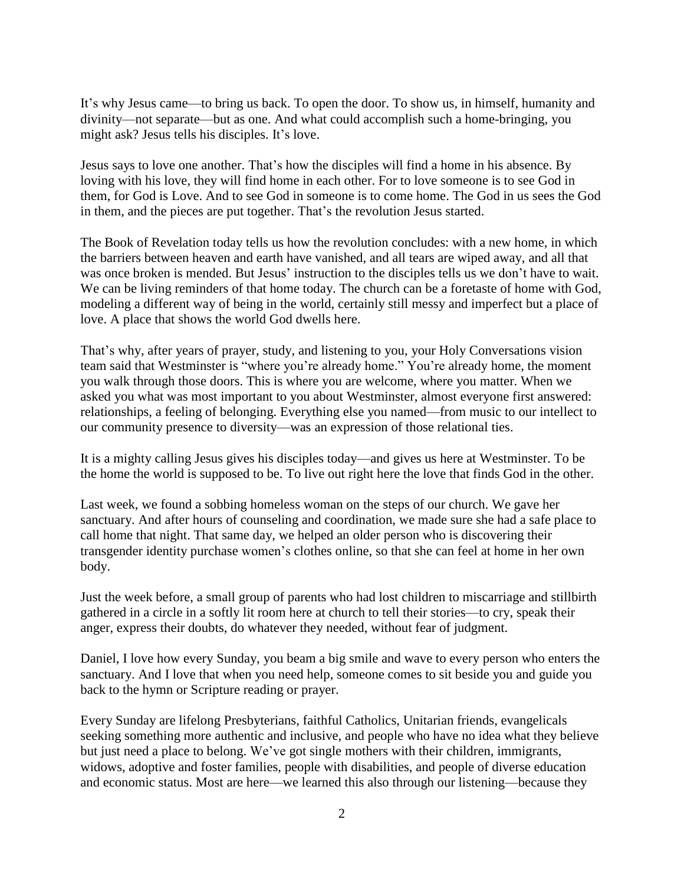It's why Jesus came—to bring us back. To open the door. To show us, in himself, humanity and divinity—not separate—but as one. And what could accomplish such a home-bringing, you might ask? Jesus tells his disciples. It's love.

Jesus says to love one another. That's how the disciples will find a home in his absence. By loving with his love, they will find home in each other. For to love someone is to see God in them, for God is Love. And to see God in someone is to come home. The God in us sees the God in them, and the pieces are put together. That's the revolution Jesus started.

The Book of Revelation today tells us how the revolution concludes: with a new home, in which the barriers between heaven and earth have vanished, and all tears are wiped away, and all that was once broken is mended. But Jesus' instruction to the disciples tells us we don't have to wait. We can be living reminders of that home today. The church can be a foretaste of home with God, modeling a different way of being in the world, certainly still messy and imperfect but a place of love. A place that shows the world God dwells here.

That's why, after years of prayer, study, and listening to you, your Holy Conversations vision team said that Westminster is "where you're already home." You're already home, the moment you walk through those doors. This is where you are welcome, where you matter. When we asked you what was most important to you about Westminster, almost everyone first answered: relationships, a feeling of belonging. Everything else you named—from music to our intellect to our community presence to diversity—was an expression of those relational ties.

It is a mighty calling Jesus gives his disciples today—and gives us here at Westminster. To be the home the world is supposed to be. To live out right here the love that finds God in the other.

Last week, we found a sobbing homeless woman on the steps of our church. We gave her sanctuary. And after hours of counseling and coordination, we made sure she had a safe place to call home that night. That same day, we helped an older person who is discovering their transgender identity purchase women's clothes online, so that she can feel at home in her own body.

Just the week before, a small group of parents who had lost children to miscarriage and stillbirth gathered in a circle in a softly lit room here at church to tell their stories—to cry, speak their anger, express their doubts, do whatever they needed, without fear of judgment.

Daniel, I love how every Sunday, you beam a big smile and wave to every person who enters the sanctuary. And I love that when you need help, someone comes to sit beside you and guide you back to the hymn or Scripture reading or prayer.

Every Sunday are lifelong Presbyterians, faithful Catholics, Unitarian friends, evangelicals seeking something more authentic and inclusive, and people who have no idea what they believe but just need a place to belong. We've got single mothers with their children, immigrants, widows, adoptive and foster families, people with disabilities, and people of diverse education and economic status. Most are here—we learned this also through our listening—because they